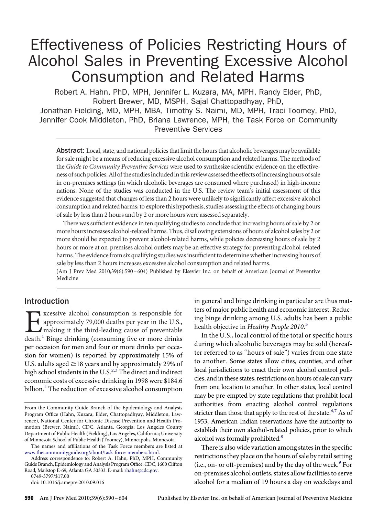# Effectiveness of Policies Restricting Hours of Alcohol Sales in Preventing Excessive Alcohol Consumption and Related Harms

Robert A. Hahn, PhD, MPH, Jennifer L. Kuzara, MA, MPH, Randy Elder, PhD, Robert Brewer, MD, MSPH, Sajal Chattopadhyay, PhD,

Jonathan Fielding, MD, MPH, MBA, Timothy S. Naimi, MD, MPH, Traci Toomey, PhD, Jennifer Cook Middleton, PhD, Briana Lawrence, MPH, the Task Force on Community Preventive Services

Abstract: Local, state, and national policies that limit the hours that alcoholic beverages may be available for sale might be a means of reducing excessive alcohol consumption and related harms. The methods of the *Guide to Community Preventive Services* were used to synthesize scientifıc evidence on the effectiveness of such policies.All of the studiesincludedin this review assessed the effects ofincreasing hours of sale in on-premises settings (in which alcoholic beverages are consumed where purchased) in high-income nations. None of the studies was conducted in the U.S. The review team's initial assessment of this evidence suggested that changes of less than 2 hours were unlikely to signifıcantly affect excessive alcohol consumption and related harms; to explore this hypothesis, studies assessing the effects of changing hours of sale by less than 2 hours and by 2 or more hours were assessed separately.

There was suffıcient evidence in ten qualifying studies to conclude that increasing hours of sale by 2 or more hours increases alcohol-related harms. Thus, disallowing extensions of hours of alcohol sales by 2 or more should be expected to prevent alcohol-related harms, while policies decreasing hours of sale by 2 hours or more at on-premises alcohol outlets may be an effective strategy for preventing alcohol-related harms. The evidence from six qualifying studies was insufficient to determine whether increasing hours of sale by less than 2 hours increases excessive alcohol consumption and related harms.

(Am J Prev Med 2010;39(6):590–604) Published by Elsevier Inc. on behalf of American Journal of Preventive Medicine

# Introduction

[E](#page-13-0)xcessive alcohol consumption is responsible for<br>approximately 79,000 deaths per year in the U.S.,<br>making it the third-leading cause of preventable<br>death.<sup>1</sup> Binge drinking (consuming five or more drinks approximately 79,000 deaths per year in the U.S., making it the third-leading cause of preventable  $death<sup>1</sup>$  Binge drinking (consuming five or more drinks per occasion for men and four or more drinks per occasion for women) is reported by approximately 15% of U.S. adults aged  $\geq$  18 years and by approximately 29% of high school students in the U.S. $^{2,3}$  $^{2,3}$  $^{2,3}$  The direct and indirect economic costs of excessive drinking in 1998 were \$184.6 billion.<sup>4</sup> The reduction of excessive alcohol consumption

The names and affıliations of the Task Force members are listed at [www.thecommunityguide.org/about/task-force-members.html](http://www.thecommunityguide.org/about/task-force-members.html).

Address correspondence to: Robert A. Hahn, PhD, MPH, Community Guide Branch, Epidemiology and Analysis Program Offıce, CDC, 1600 Clifton Road, Mailstop E-69, Atlanta GA 30333. E-mail: [rhahn@cdc.gov.](mailto:rhahn@cdc.gov)

in general and binge drinking in particular are thus matters of major public health and economic interest. Reducing binge drinking among U.S. adults has been a public health objective in *Healthy People 2010*. [5](#page-13-0)

In the U.S., local control of the total or specifıc hours during which alcoholic beverages may be sold (hereafter referred to as "hours of sale") varies from one state to another. Some states allow cities, counties, and other local jurisdictions to enact their own alcohol control policies, and in these states, restrictions on hours of sale can vary from one location to another. In other states, local control may be pre-empted by state regulations that prohibit local authorities from enacting alcohol control regulations stricter than those that apply to the rest of the state.<sup>6,7</sup> As of 1953, American Indian reservations have the authority to establish their own alcohol-related policies, prior to which alcohol was formally prohibited.<sup>8</sup>

There is also wide variation among states in the specifıc restrictions they place on the hours of sale by retail setting (i.e., on- or off-premises) and by the day of the week. $9$  For on-premises alcohol outlets, states allow facilities to serve alcohol for a median of 19 hours a day on weekdays and

From the Community Guide Branch of the Epidemiology and Analysis Program Offıce (Hahn, Kuzara, Elder, Chattopadhyay, Middleton, Lawrence), National Center for Chronic Disease Prevention and Health Promotion (Brewer, Naimi), CDC, Atlanta, Georgia; Los Angeles County Department of Public Health (Fielding), Los Angeles, California; University of Minnesota School of Public Health (Toomey), Minneapolis, Minnesota

<sup>0749-3797/\$17.00</sup>

doi: 10.1016/j.amepre.2010.09.016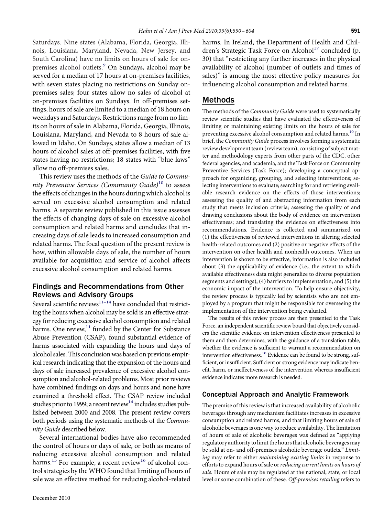Saturdays. Nine states (Alabama, Florida, Georgia, Illinois, Louisiana, Maryland, Nevada, New Jersey, and South Carolina) have no limits on hours of sale for on-premises alcohol outlets.<sup>[9](#page-13-0)</sup> On Sundays, alcohol may be served for a median of 17 hours at on-premises facilities, with seven states placing no restrictions on Sunday onpremises sales; four states allow no sales of alcohol at on-premises facilities on Sundays. In off-premises settings, hours of sale are limited to a median of 18 hours on weekdays and Saturdays. Restrictions range from no limits on hours of sale in Alabama, Florida, Georgia, Illinois, Louisiana, Maryland, and Nevada to 8 hours of sale allowed in Idaho. On Sundays, states allow a median of 13 hours of alcohol sales at off-premises facilities, with fıve states having no restrictions; 18 states with "blue laws" allow no off-premises sales.

This review uses the methods of the *Guide to Community Preventive Services (Community Guide)*[10](#page-13-0) to assess the effects of changes in the hours during which alcohol is served on excessive alcohol consumption and related harms. A separate review published in this issue assesses the effects of changing days of sale on excessive alcohol consumption and related harms and concludes that increasing days of sale leads to increased consumption and related harms. The focal question of the present review is how, within allowable days of sale, the number of hours available for acquisition and service of alcohol affects excessive alcohol consumption and related harms.

# Findings and Recommendations from Other Reviews and Advisory Groups

Several scientific reviews $11-14$  have concluded that restricting the hours when alcohol may be sold is an effective strategy for reducing excessive alcohol consumption and related harms. One review, $11$  funded by the Center for Substance Abuse Prevention (CSAP), found substantial evidence of harms associated with expanding the hours and days of alcohol sales. This conclusion was based on previous empirical research indicating that the expansion of the hours and days of sale increased prevalence of excessive alcohol consumption and alcohol-related problems. Most prior reviews have combined fındings on days and hours and none have examined a threshold effect. The CSAP review included studies prior to 1999; a recent review<sup>14</sup> includes studies published between 2000 and 2008. The present review covers both periods using the systematic methods of the *Community Guide* described below.

Several international bodies have also recommended the control of hours or days of sale, or both as means of reducing excessive alcohol consumption and related harms.<sup>[15](#page-13-0)</sup> For example, a recent review<sup>[16](#page-13-0)</sup> of alcohol control strategies by theWHO found that limiting of hours of sale was an effective method for reducing alcohol-related

harms. In Ireland, the Department of Health and Children's Strategic Task Force on Alcohol<sup>17</sup> concluded (p. 30) that "restricting any further increases in the physical availability of alcohol (number of outlets and times of sales)" is among the most effective policy measures for influencing alcohol consumption and related harms.

# Methods

The methods of the *Community Guide* were used to systematically review scientifıc studies that have evaluated the effectiveness of limiting or maintaining existing limits on the hours of sale for preventing excessive alcohol consumption and related harms.<sup>[10](#page-13-0)</sup> In brief, the *Community Guide* process involves forming a systematic review development team (review team), consisting of subject matter and methodology experts from other parts of the CDC, other federal agencies, and academia, and the Task Force on Community Preventive Services (Task Force); developing a conceptual approach for organizing, grouping, and selecting interventions; selecting interventions to evaluate; searching for and retrieving available research evidence on the effects of those interventions; assessing the quality of and abstracting information from each study that meets inclusion criteria; assessing the quality of and drawing conclusions about the body of evidence on intervention effectiveness; and translating the evidence on effectiveness into recommendations. Evidence is collected and summarized on (1) the effectiveness of reviewed interventions in altering selected health-related outcomes and (2) positive or negative effects of the intervention on other health and nonhealth outcomes. When an intervention is shown to be effective, information is also included about (3) the applicability of evidence (i.e., the extent to which available effectiveness data might generalize to diverse population segments and settings); (4) barriers to implementation; and (5) the economic impact of the intervention. To help ensure objectivity, the review process is typically led by scientists who are not employed by a program that might be responsible for overseeing the implementation of the intervention being evaluated.

The results of this review process are then presented to the Task Force, an independent scientifıc review board that objectively considers the scientifıc evidence on intervention effectiveness presented to them and then determines, with the guidance of a translation table, whether the evidence is suffıcient to warrant a recommendation on intervention effectiveness.<sup>10</sup> Evidence can be found to be strong, suffıcient, or insuffıcient. Suffıcient or strong evidence may indicate benefıt, harm, or ineffectiveness of the intervention whereas insuffıcient evidence indicates more research is needed.

# Conceptual Approach and Analytic Framework

The premise of this review is that increased availability of alcoholic beverages through any mechanism facilitates increases in excessive consumption and related harms, and that limiting hours of sale of alcoholic beverages is one way to reduce availability. The limitation of hours of sale of alcoholic beverages was defıned as "applying regulatory authority to limit the hours that alcoholic beverages may be sold at on- and off-premises alcoholic beverage outlets." *Limiting* may refer to either *maintaining existing limits* in response to efforts to expand hours of sale or*reducing current limits on hours of sale.* Hours of sale may be regulated at the national, state, or local level or some combination of these. *Off-premises retailing* refers to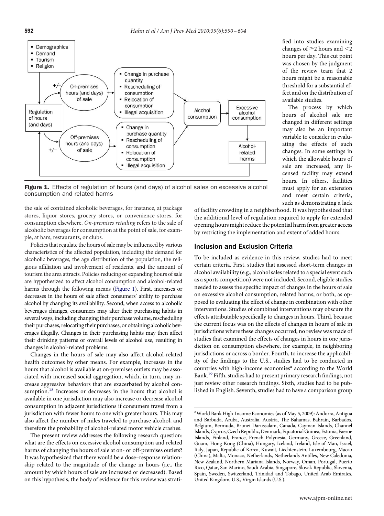

Figure 1. Effects of regulation of hours (and days) of alcohol sales on excessive alcohol consumption and related harms

the sale of contained alcoholic beverages, for instance, at package stores, liquor stores, grocery stores, or convenience stores, for consumption elsewhere. *On-premises retailing* refers to the sale of alcoholic beverages for consumption at the point of sale, for example, at bars, restaurants, or clubs.

Policies that regulate the hours of sale may be influenced by various characteristics of the affected population, including the demand for alcoholic beverages, the age distribution of the population, the religious affıliation and involvement of residents, and the amount of tourism the area attracts. Policies reducing or expanding hours of sale are hypothesized to affect alcohol consumption and alcohol-related harms through the following means (Figure 1). First, increases or decreases in the hours of sale affect consumers' ability to purchase alcohol by changing its availability. Second, when access to alcoholic beverages changes, consumers may alter their purchasing habits in several ways, including changing their purchase volume, rescheduling their purchases, relocating their purchases, or obtaining alcoholic beverages illegally. Changes in their purchasing habits may then affect their drinking patterns or overall levels of alcohol use, resulting in changes in alcohol-related problems.

Changes in the hours of sale may also affect alcohol-related health outcomes by other means. For example, increases in the hours that alcohol is available at on-premises outlets may be associated with increased social aggregation, which, in turn, may increase aggressive behaviors that are exacerbated by alcohol consumption.<sup>18</sup> Increases or decreases in the hours that alcohol is available in one jurisdiction may also increase or decrease alcohol consumption in adjacent jurisdictions if consumers travel from a jurisdiction with fewer hours to one with greater hours. This may also affect the number of miles traveled to purchase alcohol, and therefore the probability of alcohol-related motor vehicle crashes.

The present review addresses the following research question: what are the effects on excessive alcohol consumption and related harms of changing the hours of sale at on- or off-premises outlets? It was hypothesized that there would be a dose–response relationship related to the magnitude of the change in hours (i.e., the amount by which hours of sale are increased or decreased). Based on this hypothesis, the body of evidence for this review was stratifıed into studies examining changes of  $\geq$ 2 hours and  $\leq$ 2 hours per day. This cut point was chosen by the judgment of the review team that 2 hours might be a reasonable threshold for a substantial effect and on the distribution of available studies.

The process by which hours of alcohol sale are changed in different settings may also be an important variable to consider in evaluating the effects of such changes. In some settings in which the allowable hours of sale are increased, any licensed facility may extend hours. In others, facilities must apply for an extension and meet certain criteria, such as demonstrating a lack

of facility crowding in a neighborhood. It was hypothesized that the additional level of regulation required to apply for extended opening hours might reduce the potential harm from greater access by restricting the implementation and extent of added hours.

# Inclusion and Exclusion Criteria

To be included as evidence in this review, studies had to meet certain criteria. First, studies that assessed short-term changes in alcohol availability (e.g., alcohol sales related to a special event such as a sports competition) were not included. Second, eligible studies needed to assess the specifıc impact of changes in the hours of sale on excessive alcohol consumption, related harms, or both, as opposed to evaluating the effect of change in combination with other interventions. Studies of combined interventions may obscure the effects attributable specifıcally to changes in hours. Third, because the current focus was on the effects of changes in hours of sale in jurisdictions where these changes occurred, no review was made of studies that examined the effects of changes in hours in one jurisdiction on consumption elsewhere, for example, in neighboring jurisdictions or across a border. Fourth, to increase the applicability of the fındings to the U.S., studies had to be conducted in countries with high-income economies<sup>a</sup> according to the World Bank.[19](#page-13-0) Fifth, studies had to present primary research fındings, not just review other research fındings. Sixth, studies had to be published in English. Seventh, studies had to have a comparison group

<sup>&</sup>lt;sup>a</sup>World Bank High-Income Economies (as of May 5, 2009): Andorra, Antigua and Barbuda, Aruba, Australia, Austria, The Bahamas, Bahrain, Barbados, Belgium, Bermuda, Brunei Darussalam, Canada, Cayman Islands, Channel Islands, Cyprus, Czech Republic, Denmark, Equatorial Guinea, Estonia, Faeroe Islands, Finland, France, French Polynesia, Germany, Greece, Greenland, Guam, Hong Kong (China), Hungary, Iceland, Ireland, Isle of Man, Israel, Italy, Japan, Republic of Korea, Kuwait, Liechtenstein, Luxembourg, Macao (China), Malta, Monaco, Netherlands, Netherlands Antilles, New Caledonia, New Zealand, Northern Mariana Islands, Norway, Oman, Portugal, Puerto Rico, Qatar, San Marino, Saudi Arabia, Singapore, Slovak Republic, Slovenia, Spain, Sweden, Switzerland, Trinidad and Tobago, United Arab Emirates, United Kingdom, U.S., Virgin Islands (U.S.).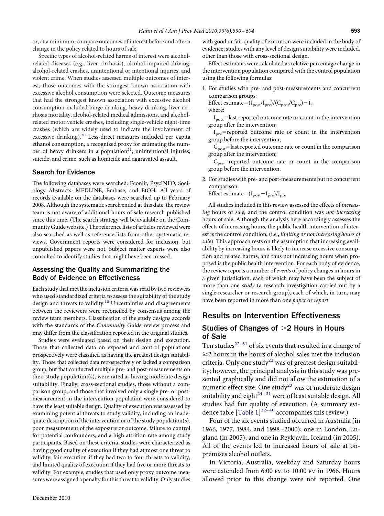or, at a minimum, compare outcomes of interest before and after a change in the policy related to hours of sale.

Specifıc types of alcohol-related harms of interest were alcoholrelated diseases (e.g., liver cirrhosis), alcohol-impaired driving, alcohol-related crashes, unintentional or intentional injuries, and violent crime. When studies assessed multiple outcomes of interest, those outcomes with the strongest known association with excessive alcohol consumption were selected. Outcome measures that had the strongest known association with excessive alcohol consumption included binge drinking, heavy drinking, liver cirrhosis mortality, alcohol-related medical admissions, and alcoholrelated motor vehicle crashes, including single-vehicle night-time crashes (which are widely used to indicate the involvement of excessive drinking).<sup>[20](#page-13-0)</sup> Less-direct measures included per capita ethanol consumption, a recognized proxy for estimating the number of heavy drinkers in a population<sup>21</sup>; unintentional injuries; suicide; and crime, such as homicide and aggravated assault.

## Search for Evidence

The following databases were searched: Econlit, PsycINFO, Sociology Abstracts, MEDLINE, Embase, and EtOH. All years of records available on the databases were searched up to February 2008. Although the systematic search ended at this date, the review team is not aware of additional hours of sale research published since this time. (The search strategy will be available on the Community Guide website.) The reference lists of articles reviewed were also searched as well as reference lists from other systematic reviews. Government reports were considered for inclusion, but unpublished papers were not. Subject matter experts were also consulted to identify studies that might have been missed.

## Assessing the Quality and Summarizing the Body of Evidence on Effectiveness

Each study that met the inclusion criteria was read by two reviewers who used standardized criteria to assess the suitability of the study design and threats to validity.<sup>[10](#page-13-0)</sup> Uncertainties and disagreements between the reviewers were reconciled by consensus among the review team members. Classifıcation of the study designs accords with the standards of the *Community Guide* review process and may differ from the classifıcation reported in the original studies.

Studies were evaluated based on their design and execution. Those that collected data on exposed and control populations prospectively were classifıed as having the greatest design suitability. Those that collected data retrospectively or lacked a comparison group, but that conducted multiple pre- and post-measurements on their study population(s), were rated as having moderate design suitability. Finally, cross-sectional studies, those without a comparison group, and those that involved only a single pre- or postmeasurement in the intervention population were considered to have the least suitable design. Quality of execution was assessed by examining potential threats to study validity, including an inadequate description of the intervention or of the study population(s), poor measurement of the exposure or outcome, failure to control for potential confounders, and a high attrition rate among study participants. Based on these criteria, studies were characterized as having good quality of execution if they had at most one threat to validity; fair execution if they had two to four threats to validity, and limited quality of execution if they had fıve or more threats to validity. For example, studies that used only proxy outcome measures were assigned a penalty for this threat to validity. Only studies with good or fair quality of execution were included in the body of evidence; studies with any level of design suitability were included, other than those with cross-sectional design.

Effect estimates were calculated as relative percentage change in the intervention population compared with the control population using the following formulas:

1. For studies with pre- and post-measurements and concurrent comparison groups:

Effect estimate= $(I_{\text{post}}/I_{\text{pre}})/(C_{\text{post}}/C_{\text{pre}})-1$ , where:

I<sub>post</sub>=last reported outcome rate or count in the intervention group after the intervention;

I<sub>pre</sub>=reported outcome rate or count in the intervention group before the intervention;

 $\rm C_{post}$ =last reported outcome rate or count in the comparison group after the intervention;

C<sub>pre</sub>=reported outcome rate or count in the comparison group before the intervention.

2. For studies with pre- and post-measurements but no concurrent comparison:

Effect estimate  $= (I_{post} - I_{pre})/I_{pre}$ 

All studies included in this review assessed the effects of *increasing* hours of sale, and the control condition was *not increasing* hours of sale. Although the analysis here accordingly assesses the effects of increasing hours, the public health intervention of interest is the control condition, (i.e., *limiting or not increasing hours of sale*). This approach rests on the assumption that increasing availability by increasing hours is likely to increase excessive consumption and related harms, and thus not increasing hours when proposed is the public health intervention. For each body of evidence, the review reports a number of *events* of policy changes in hours in a given jurisdiction, each of which may have been the subject of more than one *study* (a research investigation carried out by a single researcher or research group), each of which, in turn, may have been reported in more than one *paper* or *report*.

# Results on Intervention Effectiveness

# Studies of Changes of  $>$ 2 Hours in Hours of Sale

Ten studies $^{22-31}$  of six events that resulted in a change of  $\geq$ 2 hours in the hours of alcohol sales met the inclusion criteria. Only one study<sup>[22](#page-13-0)</sup> was of greatest design suitability; however, the principal analysis in this study was presented graphically and did not allow the estimation of a numeric effect size. One study<sup>23</sup> was of moderate design suitability and eight $2^{4-31}$  were of least suitable design. All studies had fair quality of execution. (A summary evi-dence table [\[Table 1\]](#page-4-0)<sup>22-40</sup> accompanies this review.)

Four of the six events studied occurred in Australia (in 1966, 1977, 1984, and 1998 –2000); one in London, England (in 2005); and one in Reykjavik, Iceland (in 2005). All of the events led to increased hours of sale at onpremises alcohol outlets.

In Victoria, Australia, weekday and Saturday hours were extended from 6:00 PM to 10:00 PM in 1966. Hours allowed prior to this change were not reported. One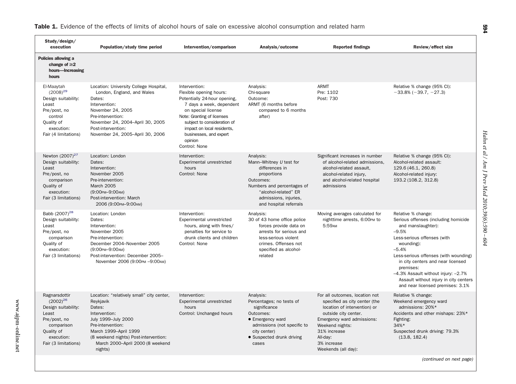| Study/design/<br>execution                                                                                                                       | Population/study time period                                                                                                                                                                                                                   | Intervention/comparison                                                                                                                                                                                                                                                     | Analysis/outcome                                                                                                                                                                            | <b>Reported findings</b>                                                                                                                                                                                                                   | Review/effect size                                                                                                                                                                                                                                                                                                                                                  |
|--------------------------------------------------------------------------------------------------------------------------------------------------|------------------------------------------------------------------------------------------------------------------------------------------------------------------------------------------------------------------------------------------------|-----------------------------------------------------------------------------------------------------------------------------------------------------------------------------------------------------------------------------------------------------------------------------|---------------------------------------------------------------------------------------------------------------------------------------------------------------------------------------------|--------------------------------------------------------------------------------------------------------------------------------------------------------------------------------------------------------------------------------------------|---------------------------------------------------------------------------------------------------------------------------------------------------------------------------------------------------------------------------------------------------------------------------------------------------------------------------------------------------------------------|
| Policies allowing a<br>change of $\geq$ 2<br>hours-Increasing<br>hours                                                                           |                                                                                                                                                                                                                                                |                                                                                                                                                                                                                                                                             |                                                                                                                                                                                             |                                                                                                                                                                                                                                            |                                                                                                                                                                                                                                                                                                                                                                     |
| El-Maaytah<br>$(2008)^{29}$<br>Design suitability:<br>Least<br>Pre/post, no<br>control<br>Quality of<br>execution:<br>Fair (4 limitations)       | Location: University College Hospital,<br>London, England, and Wales<br>Dates:<br>Intervention:<br>November 24, 2005<br>Pre-intervention:<br>November 24, 2004-April 30, 2005<br>Post-intervention:<br>November 24, 2005-April 30, 2006        | Intervention:<br>Flexible opening hours:<br>Potentially 24-hour opening,<br>7 days a week, dependent<br>on special license<br>Note: Granting of licenses<br>subject to consideration of<br>impact on local residents,<br>businesses, and expert<br>opinion<br>Control: None | Analysis:<br>Chi-square<br>Outcome:<br>ARMT (6 months before<br>compared to 6 months<br>after)                                                                                              | <b>ARMT</b><br>Pre: 1102<br>Post: 730                                                                                                                                                                                                      | Relative % change (95% CI):<br>$-33.8\% (-39.7, -27.3)$                                                                                                                                                                                                                                                                                                             |
| Newton (2007) <sup>27</sup><br>Design suitability:<br>Least<br>Pre/post, no<br>comparison<br>Quality of<br>execution:<br>Fair (3 limitations)    | Location: London<br>Dates:<br>Intervention:<br>November 2005<br>Pre-intervention:<br>March 2005<br>(9:00 PM-9:00 AM)<br>Post-intervention: March<br>2006 (9:00рм-9:00ам)                                                                       | Intervention:<br>Experimental unrestricted<br>hours<br>Control: None                                                                                                                                                                                                        | Analysis:<br>Mann-Whitney U test for<br>differences in<br>proportions<br>Outcomes:<br>Numbers and percentages of<br>"alcohol-related" ER<br>admissions, injuries,<br>and hospital referrals | Significant increases in number<br>of alcohol-related admissions,<br>alcohol-related assault,<br>alcohol-related injury,<br>and alcohol-related hospital<br>admissions                                                                     | Relative % change (95% CI):<br>Alcohol-related assault:<br>129.6 (46.1, 260.8)<br>Alcohol-related injury:<br>193.2 (108.2, 312.8)                                                                                                                                                                                                                                   |
| Babb (2007) <sup>28</sup><br>Design suitability:<br>Least<br>Pre/post, no<br>comparison<br>Quality of<br>execution:<br>Fair (3 limitations)      | Location: London<br>Dates:<br>Intervention:<br>November 2005<br>Pre-intervention:<br>December 2004-November 2005<br>(9:00 PM-9:00 AM)<br>Post-intervention: December 2005-<br>November 2006 (9:00рм - 9:00 м)                                  | Intervention:<br>Experimental unrestricted<br>hours, along with fines/<br>penalties for service to<br>drunk clients and children<br>Control: None                                                                                                                           | Analysis:<br>30 of 43 home office police<br>forces provide data on<br>arrests for serious and<br>less-serious violent<br>crimes. Offenses not<br>specified as alcohol-<br>related           | Moving averages calculated for<br>nighttime arrests, 6:00 PM to<br>5:59AM                                                                                                                                                                  | Relative % change:<br>Serious offenses (including homicide<br>and manslaughter):<br>$-9.5%$<br>Less-serious offenses (with<br>wounding):<br>$-5.4%$<br>Less-serious offenses (with wounding)<br>in city centers and near licensed<br>premises:<br>-4.3% Assault without injury: -2.7%<br>Assault without injury in city centers<br>and near licensed premises: 3.1% |
| Ragnarsdottir<br>$(2002)^{26}$<br>Design suitability:<br>Least<br>Pre/post, no<br>comparison<br>Quality of<br>execution:<br>Fair (3 limitations) | Location: "relatively small" city center,<br>Reykjavik<br>Dates:<br>Intervention:<br>July 1999-July 2000<br>Pre-intervention:<br>March 1999-April 1999<br>(8 weekend nights) Post-intervention:<br>March 2000-April 2000 (8 weekend<br>nights) | Intervention:<br>Experimental unrestricted<br>hours<br>Control: Unchanged hours                                                                                                                                                                                             | Analysis:<br>Percentages; no tests of<br>significance<br>Outcomes:<br>• Emergency ward<br>admissions (not specific to<br>city center)<br>• Suspected drunk driving<br>cases                 | For all outcomes, location not<br>specified as city center (the<br>location of intervention) or<br>outside city center.<br>Emergency ward admissions:<br>Weekend nights:<br>31% increase<br>All-day:<br>3% increase<br>Weekends (all day): | Relative % change:<br>Weekend emergency ward<br>admissions: 20%*<br>Accidents and other mishaps: 23%*<br>Fighting:<br>$34%$ *<br>Suspected drunk driving: 79.3%<br>(13.8, 182.4)                                                                                                                                                                                    |
|                                                                                                                                                  |                                                                                                                                                                                                                                                |                                                                                                                                                                                                                                                                             |                                                                                                                                                                                             |                                                                                                                                                                                                                                            |                                                                                                                                                                                                                                                                                                                                                                     |

#### <span id="page-4-0"></span>**Table 1.** Evidence of the effects of limits of alcohol hours of sale on excessive alcohol consumption and related harm

*Hahn et al / Am J Prev Med 2010;39(6):590 – 604*

Hahn et al / Am J Prev Med 2010;39(6):590 - 604

**594**

*(continued on next page)*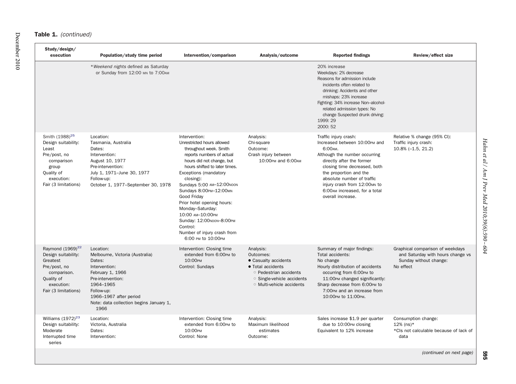#### Table 1. *(continued)*

| Study/design/<br>execution                                                                                                                            | Population/study time period                                                                                                                                                                                             | Intervention/comparison                                                                                                                                                                                                                                                                                                                                                                                                                         | Analysis/outcome                                                                                                                                                   | <b>Reported findings</b>                                                                                                                                                                                                                                                                                      | Review/effect size                                                                                           |
|-------------------------------------------------------------------------------------------------------------------------------------------------------|--------------------------------------------------------------------------------------------------------------------------------------------------------------------------------------------------------------------------|-------------------------------------------------------------------------------------------------------------------------------------------------------------------------------------------------------------------------------------------------------------------------------------------------------------------------------------------------------------------------------------------------------------------------------------------------|--------------------------------------------------------------------------------------------------------------------------------------------------------------------|---------------------------------------------------------------------------------------------------------------------------------------------------------------------------------------------------------------------------------------------------------------------------------------------------------------|--------------------------------------------------------------------------------------------------------------|
|                                                                                                                                                       | *Weekend nights defined as Saturday<br>or Sunday from 12:00 MN to 7:00 AM                                                                                                                                                |                                                                                                                                                                                                                                                                                                                                                                                                                                                 |                                                                                                                                                                    | 20% increase<br>Weekdays: 2% decrease<br>Reasons for admission include<br>incidents often related to<br>drinking: Accidents and other<br>mishaps: 23% increase<br>Fighting: 34% increase Non-alcohol-<br>related admission types: No<br>change Suspected drunk driving:<br>1999: 29<br>2000: 52               |                                                                                                              |
| Smith (1988) <sup>25</sup><br>Design suitability:<br>Least<br>Pre/post, no<br>comparison<br>group<br>Quality of<br>execution:<br>Fair (3 limitations) | Location:<br>Tasmania, Australia<br>Dates:<br>Intervention:<br>August 10, 1977<br>Pre-intervention:<br>July 1, 1971-June 30, 1977<br>Follow-up:<br>October 1, 1977-September 30, 1978                                    | Intervention:<br>Unrestricted hours allowed<br>throughout week. Smith<br>reports numbers of actual<br>hours did not change, but<br>hours shifted to later times.<br>Exceptions (mandatory<br>closing):<br>Sundays 5:00 AM-12:00NOON<br>Sundays 8:00PM-12:00MN<br>Good Friday<br>Prior hotel opening hours:<br>Monday-Saturday:<br>10:00 AM-10:00PM<br>Sunday: 12:00NOON-8:00PM<br>Control:<br>Number of injury crash from<br>6:00 PM to 10:00PM | Analysis:<br>Chi-square<br>Outcome:<br>Crash injury between<br>10:00pm and 6:00am                                                                                  | Traffic injury crash:<br>Increased between 10:00PM and<br>6:00AM.<br>Although the number occurring<br>directly after the former<br>closing time decreased, both<br>the proportion and the<br>absolute number of traffic<br>injury crash from 12:00MN to<br>6:00AM increased, for a total<br>overall increase. | Relative % change (95% CI):<br>Traffic injury crash:<br>$10.8\%$ (-1.5, 21.2)                                |
| Raymond (1969) <sup>22</sup><br>Design suitability:<br>Greatest<br>Pre/post, no<br>comparison.<br>Quality of<br>execution:<br>Fair (3 limitations)    | Location:<br>Melbourne, Victoria (Australia)<br>Dates:<br>Intervention:<br>February 1, 1966<br>Pre-intervention:<br>1964-1965<br>Follow-up:<br>1966-1967 after period<br>Note: data collection begins January 1,<br>1966 | Intervention: Closing time<br>extended from 6:00PM to<br>10:00PM<br>Control: Sundays                                                                                                                                                                                                                                                                                                                                                            | Analysis:<br>Outcomes:<br>• Casualty accidents<br>• Total accidents<br><b>Pedestrian accidents</b><br>Single-vehicle accidents<br><b>O</b> Multi-vehicle accidents | Summary of major findings:<br>Total accidents:<br>No change<br>Hourly distribution of accidents<br>occurring from 6:00PM to<br>11:00PM changed significantly:<br>Sharp decrease from 6:00PM to<br>7:00pm and an increase from<br>10:00pm to 11:00pm.                                                          | Graphical comparison of weekdays<br>and Saturday with hours change vs<br>Sunday without change:<br>No effect |
| Williams $(1972)^{23}$<br>Design suitability:<br>Moderate<br>Interrupted time<br>series                                                               | Location:<br>Victoria, Australia<br>Dates:<br>Intervention:                                                                                                                                                              | Intervention: Closing time<br>extended from 6:00PM to<br>10:00PM<br>Control: None                                                                                                                                                                                                                                                                                                                                                               | Analysis:<br>Maximum likelihood<br>estimates<br>Outcome:                                                                                                           | Sales increase \$1.9 per quarter<br>due to 10:00PM closing<br>Equivalent to 12% increase                                                                                                                                                                                                                      | Consumption change:<br>$12\%$ (ns)*<br>*Cls not calculable because of lack of<br>data                        |
|                                                                                                                                                       |                                                                                                                                                                                                                          |                                                                                                                                                                                                                                                                                                                                                                                                                                                 |                                                                                                                                                                    |                                                                                                                                                                                                                                                                                                               | (continued on next page)                                                                                     |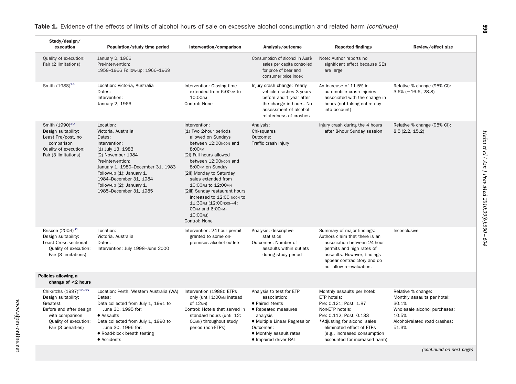| Study/design/<br>execution                                                                                                                                         | Population/study time period                                                                                                                                                                                                                                                  | Intervention/comparison                                                                                                                                                                                                                                                                                                                                                                     | Analysis/outcome                                                                                                                                                                                 | <b>Reported findings</b>                                                                                                                                                                                                                         | Review/effect size                                                                                                                            |
|--------------------------------------------------------------------------------------------------------------------------------------------------------------------|-------------------------------------------------------------------------------------------------------------------------------------------------------------------------------------------------------------------------------------------------------------------------------|---------------------------------------------------------------------------------------------------------------------------------------------------------------------------------------------------------------------------------------------------------------------------------------------------------------------------------------------------------------------------------------------|--------------------------------------------------------------------------------------------------------------------------------------------------------------------------------------------------|--------------------------------------------------------------------------------------------------------------------------------------------------------------------------------------------------------------------------------------------------|-----------------------------------------------------------------------------------------------------------------------------------------------|
| Quality of execution:<br>Fair (2 limitations)                                                                                                                      | January 2, 1966<br>Pre-intervention:<br>1958-1966 Follow-up: 1966-1969                                                                                                                                                                                                        |                                                                                                                                                                                                                                                                                                                                                                                             | Consumption of alcohol in Aus\$<br>sales per capita controlled<br>for price of beer and<br>consumer price index                                                                                  | Note: Author reports no<br>significant effect because SEs<br>are large                                                                                                                                                                           |                                                                                                                                               |
| Smith (1988) <sup>24</sup>                                                                                                                                         | Location: Victoria, Australia<br>Dates:<br>Intervention:<br>January 2, 1966                                                                                                                                                                                                   | Intervention: Closing time<br>extended from 6:00PM to<br>10:00PM<br>Control: None                                                                                                                                                                                                                                                                                                           | Injury crash change: Yearly<br>vehicle crashes 3 years<br>before and 1 year after<br>the change in hours. No<br>assessment of alcohol-<br>relatedness of crashes                                 | An increase of 11.5% in<br>automobile crash injuries<br>associated with the change in<br>hours (not taking entire day<br>into account)                                                                                                           | Relative % change (95% CI):<br>$3.6\%$ ( $-16.6$ , 28.8)                                                                                      |
| Smith (1990) <sup>30</sup><br>Design suitability:<br>Least Pre/post, no<br>comparison<br>Quality of execution:<br>Fair (3 limitations)                             | Location:<br>Victoria, Australia<br>Dates:<br>Intervention:<br>(1) July 13, 1983<br>(2) November 1984<br>Pre-intervention:<br>January 1, 1980-December 31, 1983<br>Follow-up (1): January 1,<br>1984-December 31, 1984<br>Follow-up (2): January 1,<br>1985-December 31, 1985 | Intervention:<br>(1) Two 2-hour periods<br>allowed on Sundays<br>between 12:00NOON and<br>8:00PM<br>(2i) Full hours allowed<br>between 12:00NOON and<br>8:00PM on Sunday<br>(2ii) Monday to Saturday<br>sales extended from<br>10:00pm to 12:00mn<br>(2iii) Sunday restaurant hours<br>increased to 12:00 NOON to<br>11:30PM (12:00NOON-4:<br>OOPM and 6:00PM-<br>10:00PM)<br>Control: None | Analysis:<br>Chi-squares<br>Outcome:<br>Traffic crash injury                                                                                                                                     | Injury crash during the 4 hours<br>after 8-hour Sunday session                                                                                                                                                                                   | Relative % change (95% CI):<br>8.5(2.2, 15.2)                                                                                                 |
| Briscoe $(2003)^{31}$<br>Design suitability:<br>Least Cross-sectional<br>Quality of execution:<br>Fair (3 limitations)                                             | Location:<br>Victoria, Australia<br>Dates:<br>Intervention: July 1998-June 2000                                                                                                                                                                                               | Intervention: 24-hour permit<br>granted to some on-<br>premises alcohol outlets                                                                                                                                                                                                                                                                                                             | Analysis: descriptive<br>statistics<br>Outcomes: Number of<br>assaults within outlets<br>during study period                                                                                     | Summary of major findings:<br>Authors claim that there is an<br>association between 24-hour<br>permits and high rates of<br>assaults. However, findings<br>appear contradictory and do<br>not allow re-evaluation.                               | Inconclusive                                                                                                                                  |
| Policies allowing a<br>change of $<$ 2 hours                                                                                                                       |                                                                                                                                                                                                                                                                               |                                                                                                                                                                                                                                                                                                                                                                                             |                                                                                                                                                                                                  |                                                                                                                                                                                                                                                  |                                                                                                                                               |
| Chikritzhs (1997) <sup>32-35</sup><br>Design suitability:<br>Greatest<br>Before and after design<br>with comparison<br>Quality of execution:<br>Fair (3 penalties) | Location: Perth, Western Australia (WA)<br>Dates:<br>Data collected from July 1, 1991 to<br>June 30, 1995 for:<br>• Assaults<br>Data collected from July 1, 1990 to<br>June 30, 1996 for:<br>• Road-block breath testing<br>• Accidents                                       | Intervention (1988): ETPs<br>only (until 1:00 AM instead<br>of 12 <sub>MN</sub> )<br>Control: Hotels that served in<br>standard hours (until 12:<br>OOMN) throughout study<br>period (non-ETPs)                                                                                                                                                                                             | Analysis to test for ETP<br>association:<br>• Paired t-tests<br>• Repeated measures<br>analysis<br>· Multiple Linear Regression<br>Outcomes:<br>• Monthly assault rates<br>• Impaired driver BAL | Monthly assaults per hotel:<br>ETP hotels:<br>Pre: 0.121; Post: 1.87<br>Non-ETP hotels:<br>Pre: 0.112; Post: 0.133<br>*Adjusting for alcohol sales<br>eliminated effect of ETPs<br>(e.g., increased consumption<br>accounted for increased harm) | Relative % change:<br>Monthly assaults per hotel:<br>30.1%<br>Wholesale alcohol purchases:<br>10.5%<br>Alcohol-related road crashes:<br>51.3% |

*(continued on next page)*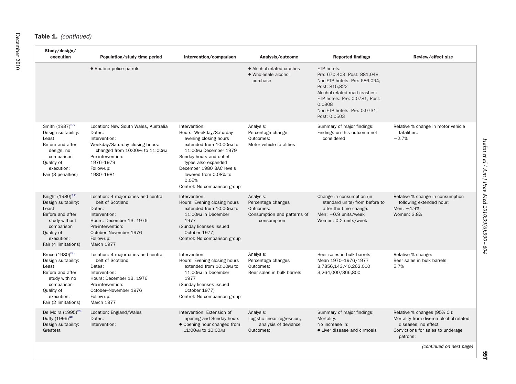### Table 1. *(continued)*

| Study/design/<br>execution                                                                                                                                         | Population/study time period                                                                                                                                                                       | Intervention/comparison                                                                                                                                                                                                                                                | Analysis/outcome                                                                           | <b>Reported findings</b>                                                                                                                                                                                                  | Review/effect size                                                                                                                             |
|--------------------------------------------------------------------------------------------------------------------------------------------------------------------|----------------------------------------------------------------------------------------------------------------------------------------------------------------------------------------------------|------------------------------------------------------------------------------------------------------------------------------------------------------------------------------------------------------------------------------------------------------------------------|--------------------------------------------------------------------------------------------|---------------------------------------------------------------------------------------------------------------------------------------------------------------------------------------------------------------------------|------------------------------------------------------------------------------------------------------------------------------------------------|
|                                                                                                                                                                    | • Routine police patrols                                                                                                                                                                           |                                                                                                                                                                                                                                                                        | • Alcohol-related crashes<br>• Wholesale alcohol<br>purchase                               | ETP hotels:<br>Pre: 670,403; Post: 881,048<br>Non-ETP hotels: Pre: 686,094;<br>Post: 815.822<br>Alcohol-related road crashes:<br>ETP hotels: Pre: 0.0781; Post:<br>0.0808<br>Non-ETP hotels: Pre: 0.0731;<br>Post: 0.0503 |                                                                                                                                                |
| Smith (1987) <sup>36</sup><br>Design suitability:<br>Least<br>Before and after<br>design, no<br>comparison<br>Quality of<br>execution:<br>Fair (3 penalties)       | Location: New South Wales, Australia<br>Dates:<br>Intervention:<br>Weekday/Saturday closing hours:<br>changed from 10:00pm to 11:00pm<br>Pre-intervention:<br>1976-1979<br>Follow-up:<br>1980-1981 | Intervention:<br>Hours: Weekday/Saturday<br>evening closing hours<br>extended from 10:00PM to<br>11:00PM December 1979<br>Sunday hours and outlet<br>types also expanded<br>December 1980 BAC levels<br>lowered from 0.08% to<br>0.05%<br>Control: No comparison group | Analysis:<br>Percentage change<br>Outcomes:<br>Motor vehicle fatalities                    | Summary of major findings:<br>Findings on this outcome not<br>considered                                                                                                                                                  | Relative % change in motor vehicle<br>fatalities:<br>$-2.7%$                                                                                   |
| Knight (1980) <sup>37</sup><br>Design suitability:<br>Least<br>Before and after<br>study without<br>comparison<br>Quality of<br>execution:<br>Fair (4 limitations) | Location: 4 major cities and central<br>belt of Scotland<br>Dates:<br>Intervention:<br>Hours: December 13, 1976<br>Pre-intervention:<br>October-November 1976<br>Follow-up:<br>March 1977          | Intervention:<br>Hours: Evening closing hours<br>extended from 10:00PM to<br>11:00PM in December<br>1977<br>(Sunday licenses issued<br>October 1977)<br>Control: No comparison group                                                                                   | Analysis:<br>Percentage changes<br>Outcomes:<br>Consumption and patterns of<br>consumption | Change in consumption (in<br>standard units) from before to<br>after the time change:<br>Men: $-0.9$ units/week<br>Women: 0.2 units/week                                                                                  | Relative % change in consumption<br>following extended hour:<br>Men: $-4.9%$<br>Women: 3.8%                                                    |
| Bruce (1980) <sup>38</sup><br>Design suitability:<br>Least<br>Before and after<br>study with no<br>comparison<br>Quality of<br>execution:<br>Fair (2 limitations)  | Location: 4 major cities and central<br>belt of Scotland<br>Dates:<br>Intervention:<br>Hours: December 13, 1976<br>Pre-intervention:<br>October-November 1976<br>Follow-up:<br>March 1977          | Intervention:<br>Hours: Evening closing hours<br>extended from 10:00PM to<br>11:00PM in December<br>1977<br>(Sunday licenses issued<br>October 1977)<br>Control: No comparison group                                                                                   | Analysis:<br>Percentage changes<br>Outcomes:<br>Beer sales in bulk barrels                 | Beer sales in bulk barrels<br>Mean 1970-1976/1977<br>3,7856,143/40,262,000<br>3,264,000/366,800                                                                                                                           | Relative % change:<br>Beer sales in bulk barrels<br>5.7%                                                                                       |
| De Moira (1995) <sup>39</sup><br>Duffy (1996) <sup>40</sup><br>Design suitability:<br>Greatest                                                                     | Location: England/Wales<br>Dates:<br>Intervention:                                                                                                                                                 | Intervention: Extension of<br>opening and Sunday hours<br>• Opening hour changed from<br>11:00 AM to 10:00 AM                                                                                                                                                          | Analysis:<br>Logistic linear regression,<br>analysis of deviance<br>Outcomes:              | Summary of major findings:<br>Mortality:<br>No increase in:<br>• Liver disease and cirrhosis                                                                                                                              | Relative % changes (95% CI):<br>Mortality from diverse alcohol-related<br>diseases: no effect<br>Convictions for sales to underage<br>patrons: |

Hahn et al / Am J Prev Med 2010;39(6):590 - 604 *Hahn et al / Am J Prev Med 2010;39(6):590 – 604*

*(continued on next page)*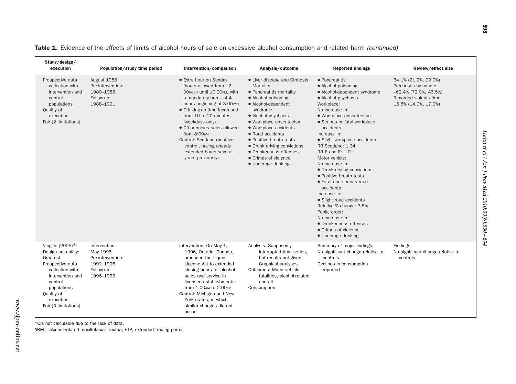| Study/design/<br>execution                                                                                                                                                                         | Population/study time period                                                           | Intervention/comparison                                                                                                                                                                                                                                                                                                                                                     | Analysis/outcome                                                                                                                                                                                                                                                                                                                                                   | <b>Reported findings</b>                                                                                                                                                                                                                                                                                                                                                                                                                                                                                                                                                                                                  | Review/effect size                                                                                                          |
|----------------------------------------------------------------------------------------------------------------------------------------------------------------------------------------------------|----------------------------------------------------------------------------------------|-----------------------------------------------------------------------------------------------------------------------------------------------------------------------------------------------------------------------------------------------------------------------------------------------------------------------------------------------------------------------------|--------------------------------------------------------------------------------------------------------------------------------------------------------------------------------------------------------------------------------------------------------------------------------------------------------------------------------------------------------------------|---------------------------------------------------------------------------------------------------------------------------------------------------------------------------------------------------------------------------------------------------------------------------------------------------------------------------------------------------------------------------------------------------------------------------------------------------------------------------------------------------------------------------------------------------------------------------------------------------------------------------|-----------------------------------------------------------------------------------------------------------------------------|
| Prospective data<br>collection with<br>intervention and<br>control<br>populations<br>Quality of<br>execution:<br>Fair (2 limitations)                                                              | August 1988<br>Pre-intervention:<br>1980-1988<br>Follow-up:<br>1988-1991               | • Extra hour on Sunday<br>(hours allowed from 12:<br>OONOON until 10:30PM, with<br>a mandatory break of 4<br>hours beginning at 3:00PM)<br>• Drinking-up time increased<br>from 10 to 20 minutes<br>(weekdays only)<br>• Off-premises sales allowed<br>from 8:00AM<br>Control: Scotland (positive<br>control, having already<br>extended hours several<br>years previously) | • Liver disease and Cirrhosis<br>Mortality<br>• Pancreatitis mortality<br>• Alcohol poisoning<br>• Alcohol-dependent<br>syndrome<br>• Alcohol psychosis<br>• Workplace absenteeism<br>· Workplace accidents<br>• Road accidents<br>• Positive breath tests<br>• Drunk driving convictions<br>• Drunkenness offenses<br>• Crimes of violence<br>• Underage drinking | • Pancreatitis<br>• Alcohol poisoning<br>• Alcohol-dependent syndrome<br>• Alcohol psychosis<br>Workplace:<br>No increase in:<br>· Workplace absenteeism<br>• Serious or fatal workplace<br>accidents<br>Increase in:<br>• Slight workplace accidents<br>RR Scotland: 1.34<br>RR E and E: 1.01<br>Motor vehicle:<br>No increase in:<br>• Drunk driving convictions<br>• Positive breath tests<br>• Fatal and serious road<br>accidents<br>Increase in:<br>• Slight road accidents<br>Relative % change: 3.5%<br>Public order:<br>No increase in:<br>• Drunkenness offenses<br>• Crimes of violence<br>• Underage drinking | 64.1% (21.2%, 99.0%)<br>Purchases by minors:<br>$-62.4\%$ (72.9%, 46.5%)<br>Recorded violent crime:<br>15.5% (14.0%, 17.0%) |
| Vingilis $(2005)^{41}$<br>Design suitability:<br>Greatest<br>Prospective data<br>collection with<br>intervention and<br>control<br>populations<br>Quality of<br>execution:<br>Fair (3 limitations) | Intervention:<br>May 1996<br>Pre-intervention:<br>1992-1996<br>Follow-up:<br>1996-1999 | Intervention: On May 1,<br>1996, Ontario, Canada,<br>amended the Liquor<br>License Act to extended<br>closing hours for alcohol<br>sales and service in<br>licensed establishments<br>from 1:00AM to 2:00AM<br>Control: Michigan and New<br>York states, in which<br>similar changes did not<br>occur                                                                       | Analysis: Supposedly<br>interrupted time series.<br>but results not given.<br>Graphical analyses.<br>Outcomes: Motor vehicle<br>fatalities, alcohol-related<br>and all<br>Consumption                                                                                                                                                                              | Summary of major findings:<br>No significant change relative to<br>controls<br>Declines in consumption<br>reported                                                                                                                                                                                                                                                                                                                                                                                                                                                                                                        | Findings:<br>No significant change relative to<br>controls                                                                  |

Table 1. Evidence of the effects of limits of alcohol hours of sale on excessive alcohol consumption and related harm *(continued)*

\*Cls not calculable due to the lack of data.

ARMT, alcohol-related maxillofacial trauma; ETP, extended trading permit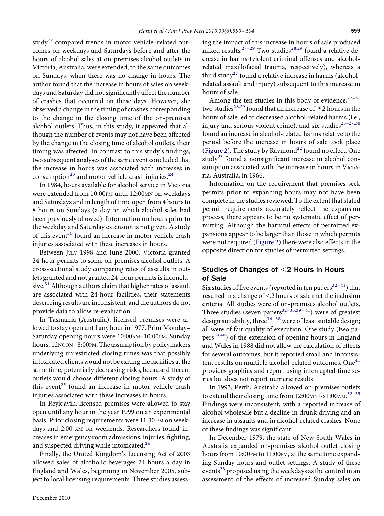study<sup>[22](#page-13-0)</sup> compared trends in motor vehicle–related outcomes on weekdays and Saturdays before and after the hours of alcohol sales at on-premises alcohol outlets in Victoria, Australia, were extended, to the same outcomes on Sundays, when there was no change in hours. The author found that the increase in hours of sales on weekdays and Saturday did not signifıcantly affect the number of crashes that occurred on these days. However, she observed a change in the timing of crashes corresponding to the change in the closing time of the on-premises alcohol outlets. Thus, in this study, it appeared that although the number of events may not have been affected by the change in the closing time of alcohol outlets, their timing was affected. In contrast to this study's fındings, two subsequent analyses of the same event concluded that the increase in hours was associated with increases in consumption<sup>23</sup> and motor vehicle crash injuries.<sup>[24](#page-13-0)</sup>

In 1984, hours available for alcohol service in Victoria were extended from 10:00PM until 12:00MN on weekdays and Saturdays and in length of time open from 4 hours to 8 hours on Sundays (a day on which alcohol sales had been previously allowed). Information on hours prior to the weekday and Saturday extension is not given. A study of this event<sup>30</sup> found an increase in motor vehicle crash injuries associated with these increases in hours.

Between July 1998 and June 2000, Victoria granted 24-hour permits to some on-premises alcohol outlets. A cross-sectional study comparing rates of assaults in outlets granted and not granted 24-hour permits is inconclusive. $31$  Although authors claim that higher rates of assault are associated with 24-hour facilities, their statements describing results are inconsistent, and the authors do not provide data to allow re-evaluation.

In Tasmania (Australia), licensed premises were allowed to stay open until any hour in 1977. Prior Monday– Saturday opening hours were 10:00AM–10:00PM; Sunday hours, 12NOON-8:00PM. The assumption by policymakers underlying unrestricted closing times was that possibly intoxicated clients would not be exiting the facilities at the same time, potentially decreasing risks, because different outlets would choose different closing hours. A study of this event<sup>[25](#page-13-0)</sup> found an increase in motor vehicle crash injuries associated with these increases in hours.

In Reykjavik, licensed premises were allowed to stay open until any hour in the year 1999 on an experimental basis. Prior closing requirements were 11:30 PM on weekdays and 2:00 AM on weekends. Researchers found increases in emergency room admissions, injuries, fıghting, and suspected driving while intoxicated.<sup>[26](#page-13-0)</sup>

Finally, the United Kingdom's Licensing Act of 2003 allowed sales of alcoholic beverages 24 hours a day in England and Wales, beginning in November 2005, subject to local licensing requirements. Three studies assessing the impact of this increase in hours of sale produced mixed results.<sup>27-29</sup> Two studies<sup>[28,29](#page-13-0)</sup> found a relative decrease in harms (violent criminal offenses and alcoholrelated maxillofacial trauma, respectively), whereas a third study<sup>[27](#page-13-0)</sup> found a relative increase in harms (alcoholrelated assault and injury) subsequent to this increase in hours of sale.

Among the ten studies in this body of evidence,  $2^{2-31}$ two studies<sup>[28,29](#page-13-0)</sup> found that an increase of  $\geq$ 2 hours in the hours of sale led to decreased alcohol-related harms (i.e., injury and serious violent crime), and six studies<sup>23-27,30</sup> found an increase in alcohol-related harms relative to the period before the increase in hours of sale took place [\(Figure 2\)](#page-10-0). The study by Raymond<sup>[22](#page-13-0)</sup> found no effect. One study<sup>23</sup> found a nonsignificant increase in alcohol consumption associated with the increase in hours in Victoria, Australia, in 1966.

Information on the requirement that premises seek permits prior to expanding hours may not have been complete in the studies reviewed. To the extent that stated permit requirements accurately reflect the expansion process, there appears to be no systematic effect of permitting. Although the harmful effects of permitted expansions appear to be larger than those in which permits were not required [\(Figure 2\)](#page-10-0) there were also effects in the opposite direction for studies of permitted settings.

# Studies of Changes of  $\leq$  2 Hours in Hours of Sale

Six studies of five events (reported in ten papers<sup>32-41</sup>) that resulted in a change of <2 hours of sale met the inclusion criteria. All studies were of on-premises alcohol outlets. Three studies (seven papers $32-35,39-41)$  were of greatest design suitability, three<sup>36-38</sup> were of least suitable design; all were of fair quality of execution. One study (two pa $pers<sup>39,40</sup>$  of the extension of opening hours in England and Wales in 1988 did not allow the calculation of effects for several outcomes, but it reported small and inconsis-tent results on multiple alcohol-related outcomes. One<sup>[41](#page-14-0)</sup> provides graphics and report using interrupted time series but does not report numeric results.

In 1993, Perth, Australia allowed on-premises outlets to extend their closing time from 12:00<sub>MN</sub> to 1:00<sub>AM.</sub><sup>32-35</sup> Findings were inconsistent, with a reported increase of alcohol wholesale but a decline in drunk driving and an increase in assaults and in alcohol-related crashes. None of these fındings was signifıcant.

In December 1979, the state of New South Wales in Australia expanded on-premises alcohol outlet closing hours from 10:00PM to 11:00PM, at the same time expanding Sunday hours and outlet settings. A study of these events<sup>36</sup> proposed using the weekdays as the control in an assessment of the effects of increased Sunday sales on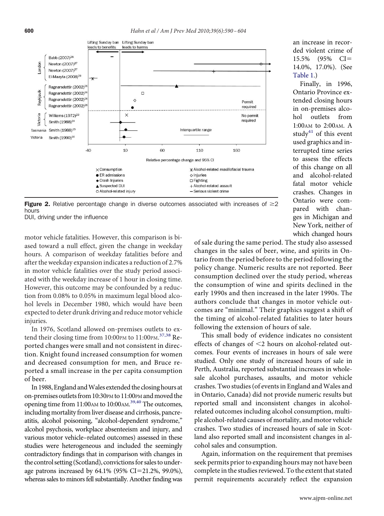<span id="page-10-0"></span>

Figure 2. Relative percentage change in diverse outcomes associated with increases of  $\geq 2$ hours

DUI, driving under the influence

motor vehicle fatalities. However, this comparison is biased toward a null effect, given the change in weekday hours. A comparison of weekday fatalities before and after the weekday expansion indicates a reduction of 2.7% in motor vehicle fatalities over the study period associated with the weekday increase of 1 hour in closing time. However, this outcome may be confounded by a reduction from 0.08% to 0.05% in maximum legal blood alcohol levels in December 1980, which would have been expected to deter drunk driving and reduce motor vehicle injuries.

In 1976, Scotland allowed on-premises outlets to ex-tend their closing time from 10:00PM to 11:00PM.<sup>[37,38](#page-13-0)</sup> Reported changes were small and not consistent in direction. Knight found increased consumption for women and decreased consumption for men, and Bruce reported a small increase in the per capita consumption of beer.

In 1988, England and Wales extended the closing hours at on-premises outlets from 10:30PM to 11:00PM and moved the opening time from 11:00AM to 10:00AM. [39,40](#page-13-0) The outcomes, including mortality from liver disease and cirrhosis, pancreatitis, alcohol poisoning, "alcohol-dependent syndrome," alcohol psychosis, workplace absenteeism and injury, and various motor vehicle–related outcomes) assessed in these studies were heterogeneous and included the seemingly contradictory fındings that in comparison with changes in the control setting (Scotland), convictionsfor sales to underage patrons increased by 64.1% (95% CI=21.2%, 99.0%), whereas sales to minors fell substantially. Another fınding was of sale during the same period. The study also assessed changes in the sales of beer, wine, and spirits in Ontario from the period before to the period following the policy change. Numeric results are not reported. Beer consumption declined over the study period, whereas the consumption of wine and spirits declined in the early 1990s and then increased in the later 1990s. The authors conclude that changes in motor vehicle outcomes are "minimal." Their graphics suggest a shift of the timing of alcohol-related fatalities to later hours following the extension of hours of sale.

This small body of evidence indicates no consistent effects of changes of  $\leq$ 2 hours on alcohol-related outcomes. Four events of increases in hours of sale were studied. Only one study of increased hours of sale in Perth, Australia, reported substantial increases in wholesale alcohol purchases, assaults, and motor vehicle crashes. Two studies (of events in England and Wales and in Ontario, Canada) did not provide numeric results but reported small and inconsistent changes in alcoholrelated outcomes including alcohol consumption, multiple alcohol-related causes of mortality, and motor vehicle crashes. Two studies of increased hours of sale in Scotland also reported small and inconsistent changes in alcohol sales and consumption.

Again, information on the requirement that premises seek permits prior to expanding hours may not have been complete in the studies reviewed. To the extent that stated permit requirements accurately reflect the expansion

Finally, in 1996, Ontario Province extended closing hours in on-premises alcohol outlets from 1:00AM to 2:00AM. A study<sup>41</sup> of this event used graphics and interrupted time series to assess the effects of this change on all and alcohol-related fatal motor vehicle crashes. Changes in Ontario were compared with changes in Michigan and New York, neither of which changed hours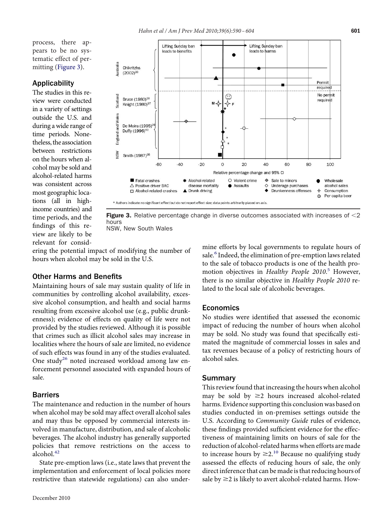process, there appears to be no systematic effect of permitting (Figure 3).

# Applicability

The studies in this review were conducted in a variety of settings outside the U.S. and during a wide range of time periods. Nonetheless, the association between restrictions on the hours when alcohol may be sold and alcohol-related harms was consistent across most geographic locations (all in highincome countries) and time periods, and the fındings of this review are likely to be relevant for consid-



**Figure 3.** Relative percentage change in diverse outcomes associated with increases of  $\leq$ 2 hours

NSW, New South Wales

ering the potential impact of modifying the number of hours when alcohol may be sold in the U.S.

# Other Harms and Benefits

Maintaining hours of sale may sustain quality of life in communities by controlling alcohol availability, excessive alcohol consumption, and health and social harms resulting from excessive alcohol use (e.g., public drunkenness); evidence of effects on quality of life were not provided by the studies reviewed. Although it is possible that crimes such as illicit alcohol sales may increase in localities where the hours of sale are limited, no evidence of such effects was found in any of the studies evaluated. One study<sup>26</sup> noted increased workload among law enforcement personnel associated with expanded hours of sale.

# Barriers

The maintenance and reduction in the number of hours when alcohol may be sold may affect overall alcohol sales and may thus be opposed by commercial interests involved in manufacture, distribution, and sale of alcoholic beverages. The alcohol industry has generally supported policies that remove restrictions on the access to alcohol.<sup>[42](#page-14-0)</sup>

State pre-emption laws (i.e., state laws that prevent the implementation and enforcement of local policies more restrictive than statewide regulations) can also undermine efforts by local governments to regulate hours of sale.<sup>6</sup> Indeed, the elimination of pre-emption laws related to the sale of tobacco products is one of the health promotion objectives in *Healthy People 2010*. [5](#page-13-0) However, there is no similar objective in *Healthy People 2010* related to the local sale of alcoholic beverages.

## **Economics**

No studies were identifıed that assessed the economic impact of reducing the number of hours when alcohol may be sold. No study was found that specifıcally estimated the magnitude of commercial losses in sales and tax revenues because of a policy of restricting hours of alcohol sales.

## Summary

This review found that increasing the hours when alcohol may be sold by  $\geq$  hours increased alcohol-related harms. Evidence supporting this conclusion was based on studies conducted in on-premises settings outside the U.S. According to *Community Guide* rules of evidence, these fındings provided suffıcient evidence for the effectiveness of maintaining limits on hours of sale for the reduction of alcohol-related harms when efforts are made to increase hours by  $\geq 2$ .<sup>10</sup> Because no qualifying study assessed the effects of reducing hours of sale, the only direct inference that can be made is that reducing hours of sale by  $\geq$  2 is likely to avert alcohol-related harms. How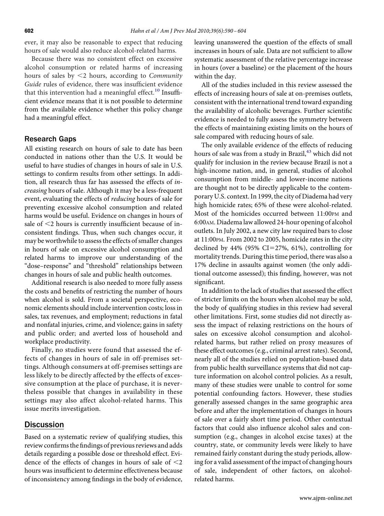ever, it may also be reasonable to expect that reducing hours of sale would also reduce alcohol-related harms.

Because there was no consistent effect on excessive alcohol consumption or related harms of increasing hours of sales by 2 hours, according to *Community Guide* rules of evidence, there was insuffıcient evidence that this intervention had a meaningful effect.<sup>[10](#page-13-0)</sup> Insufficient evidence means that it is not possible to determine from the available evidence whether this policy change had a meaningful effect.

# Research Gaps

All existing research on hours of sale to date has been conducted in nations other than the U.S. It would be useful to have studies of changes in hours of sale in U.S. settings to confırm results from other settings. In addition, all research thus far has assessed the effects of *increasing* hours of sale. Although it may be a less-frequent event, evaluating the effects of *reducing* hours of sale for preventing excessive alcohol consumption and related harms would be useful. Evidence on changes in hours of sale of  $\leq$ 2 hours is currently insufficient because of inconsistent fındings. Thus, when such changes occur, it may be worthwhile to assess the effects of smaller changes in hours of sale on excessive alcohol consumption and related harms to improve our understanding of the "dose–response" and "threshold" relationships between changes in hours of sale and public health outcomes.

Additional research is also needed to more fully assess the costs and benefıts of restricting the number of hours when alcohol is sold. From a societal perspective, economic elements should include intervention costs; loss in sales, tax revenues, and employment; reductions in fatal and nonfatal injuries, crime, and violence; gains in safety and public order; and averted loss of household and workplace productivity.

Finally, no studies were found that assessed the effects of changes in hours of sale in off-premises settings. Although consumers at off-premises settings are less likely to be directly affected by the effects of excessive consumption at the place of purchase, it is nevertheless possible that changes in availability in these settings may also affect alcohol-related harms. This issue merits investigation.

# **Discussion**

Based on a systematic review of qualifying studies, this review confırms the fındings of previous reviews and adds details regarding a possible dose or threshold effect. Evidence of the effects of changes in hours of sale of  $\leq$ 2 hours was insuffıcient to determine effectiveness because of inconsistency among fındings in the body of evidence, leaving unanswered the question of the effects of small increases in hours of sale. Data are not suffıcient to allow systematic assessment of the relative percentage increase in hours (over a baseline) or the placement of the hours within the day.

All of the studies included in this review assessed the effects of increasing hours of sale at on-premises outlets, consistent with the international trend toward expanding the availability of alcoholic beverages. Further scientifıc evidence is needed to fully assess the symmetry between the effects of maintaining existing limits on the hours of sale compared with reducing hours of sale.

The only available evidence of the effects of reducing hours of sale was from a study in Brazil,<sup>43</sup> which did not qualify for inclusion in the review because Brazil is not a high-income nation, and, in general, studies of alcohol consumption from middle- and lower-income nations are thought not to be directly applicable to the contemporary U.S. context. In 1999, the city of Diadema had very high homicide rates; 65% of these were alcohol-related. Most of the homicides occurred between 11:00PM and 6:00AM. Diadema law allowed 24-hour opening of alcohol outlets. In July 2002, a new city law required bars to close at 11:00PM. From 2002 to 2005, homicide rates in the city declined by  $44\%$  (95% CI=27%, 61%), controlling for mortality trends. During this time period, there was also a 17% decline in assaults against women (the only additional outcome assessed); this fınding, however, was not significant.

In addition to the lack of studies that assessed the effect of stricter limits on the hours when alcohol may be sold, the body of qualifying studies in this review had several other limitations. First, some studies did not directly assess the impact of relaxing restrictions on the hours of sales on excessive alcohol consumption and alcoholrelated harms, but rather relied on proxy measures of these effect outcomes (e.g., criminal arrest rates). Second, nearly all of the studies relied on population-based data from public health surveillance systems that did not capture information on alcohol control policies. As a result, many of these studies were unable to control for some potential confounding factors. However, these studies generally assessed changes in the same geographic area before and after the implementation of changes in hours of sale over a fairly short time period. Other contextual factors that could also influence alcohol sales and consumption (e.g., changes in alcohol excise taxes) at the country, state, or community levels were likely to have remained fairly constant during the study periods, allowing for a valid assessment of the impact of changing hours of sale, independent of other factors, on alcoholrelated harms.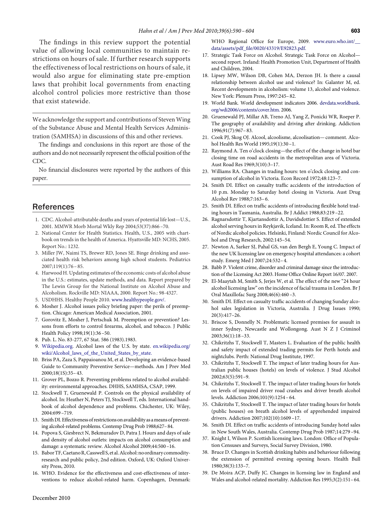<span id="page-13-0"></span>The findings in this review support the potential value of allowing local communities to maintain restrictions on hours of sale. If further research supports the effectiveness of local restrictions on hours of sale, it would also argue for eliminating state pre-emption laws that prohibit local governments from enacting alcohol control policies more restrictive than those that exist statewide.

We acknowledge the support and contributions of Steven Wing of the Substance Abuse and Mental Health Services Administration (SAMHSA) in discussions of this and other reviews.

The fındings and conclusions in this report are those of the authors and do not necessarily represent the offıcial position of the CDC.

No fınancial disclosures were reported by the authors of this paper.

# **References**

- 1. CDC. Alcohol-attributable deaths and years of potential life lost—U.S., 2001. MMWR Morb Mortal Wkly Rep 2004;53(37):866 –70.
- 2. National Center for Health Statistics. Health, U.S., 2005 with chartbook on trends in the health of America. Hyattsville MD: NCHS, 2005. Report No.: 1232.
- 3. Miller JW, Naimi TS, Brewer RD, Jones SE. Binge drinking and associated health risk behaviors among high school students. Pediatrics 2007;119(1):76 – 85.
- 4. Harwood H. Updating estimates of the economic costs of alcohol abuse in the U.S.: estimates, update methods, and data. Report prepared by The Lewin Group for the National Institute on Alcohol Abuse and Alcoholism. Rockville MD: NIAAA, 2000. Report No.: 98-4327.
- 5. USDHHS. Healthy People 2010. [www.healthypeople.gov/.](http://www.healthypeople.gov/)
- 6. Mosher J. Alcohol issues policy briefıng paper: the perils of preemption. Chicago: American Medical Association, 2001.
- 7. Gorovitz E, Mosher J, Pertschuk M. Preemption or prevention? Lessons from efforts to control fırearms, alcohol, and tobacco. J Public Health Policy 1998;19(1):36 –50.
- 8. Pub. L. No. 83-277, 67 Stat. 586 (1983).1983.
- 9. [Wikipedia.org.](http://Wikipedia.org) Alcohol laws of the U.S. by state. [en.wikipedia.org/](http://en.wikipedia.org/wiki/Alcohol_laws_of_the_United_States_by_state) [wiki/Alcohol\\_laws\\_of\\_the\\_United\\_States\\_by\\_state.](http://en.wikipedia.org/wiki/Alcohol_laws_of_the_United_States_by_state)
- 10. Briss PA, Zaza S, Pappaioanou M, et al. Developing an evidence-based Guide to Community Preventive Service—methods. Am J Prev Med 2000;18(1S):35– 43.
- 11. Grover PL, Bozzo R. Preventing problems related to alcohol availability: environmental approaches. DHHS, SAMHSA, CSAP, 1999.
- 12. Stockwell T, Gruenewald P. Controls on the physical availability of alcohol. In: Heather N, Peters TJ, Stockwell T, eds. International handbook of alcohol dependence and problems. Chichester, UK: Wiley, 2004:699 –719.
- 13. Smith DI. Effectiveness of restrictions on availability as a means of preventing alcohol-related problems. Contemp Drug Prob 1988;627–84.
- 14. Popova S, Giesbrect N, Bekmuradov D, Patra J. Hours and days of sale and density of alcohol outlets: impacts on alcohol consumption and damage: a systematic review. Alcohol Alcohol 2009;44:500 –16.
- 15. BaborTF,CaetanoR,CasswellS, etal.Alcohol:no ordinary commodityresearch and public policy, 2nd edition. Oxford, UK: Oxford University Press, 2010.
- 16. WHO. Evidence for the effectiveness and cost-effectiveness of interventions to reduce alcohol-related harm. Copenhagen, Denmark:

WHO Regional Office for Europe, 2009. www.euro.who.int/ [data/assets/pdf\\_fıle/0020/43319/E92823.pdf.](http://www.euro.who.int/__data/assets/pdf_file/0020/43319/E92823.pdf)

- 17. Strategic Task Force on Alcohol. Strategic Task Force on Alcohol second report. Ireland: Health Promotion Unit, Department of Health and Children, 2004.
- 18. Lipsey MW, Wilson DB, Cohen MA, Derzon JH. Is there a causal relationship between alcohol use and violence? In: Galanter M, ed. Recent developments in alcoholism: volume 13, alcohol and violence. New York: Plenum Press, 1997:245– 82.
- 19. World Bank. World development indicators 2006. [devdata.worldbank.](http://devdata.worldbank.org/wdi2006/contents/cover.htm) [org/wdi2006/contents/cover.htm.](http://devdata.worldbank.org/wdi2006/contents/cover.htm) 2006.
- 20. Gruenewald PJ, Millar AB, Treno AJ, Yang Z, Ponicki WR, Roeper P. The geography of availability and driving after drinking. Addiction 1996;91(7):967– 83.
- 21. Cook PJ, Skog OJ. Alcool, alcoolisme, alcoolisation— comment. Alcohol Health Res World 1995;19(1):30 –1.
- 22. Raymond A. Ten o'clock closing—the effect of the change in hotel bar closing time on road accidents in the metropolitan area of Victoria. Aust Road Res 1969;3(10):3–17.
- 23. Williams RA. Changes in trading hours: ten o'clock closing and consumption of alcohol in Victoria. Econ Record 1972;48:123–7.
- 24. Smith DI. Effect on casualty traffıc accidents of the introduction of 10 p.m. Monday to Saturday hotel closing in Victoria. Aust Drug Alcohol Rev 1988;7:163– 6.
- 25. Smith DI. Effect on traffıc accidents of introducing flexible hotel trading hours in Tasmania, Australia. Br J Addict 1988;83:219 –22.
- 26. Ragnarsdottir T, Kjartansdottir A, Davidsdottier S. Effect of extended alcohol serving hours in Reykjavik, Iceland. In: Room R, ed. The effects of Nordic alcohol policies. Helsinki, Finland: Nordic Council for Alcohol and Drug Research, 2002:145–54.
- 27. Newton A, Sarker SJ, Pahal GS, van den Bergh E, Young C. Impact of the new UK licensing law on emergency hospital attendances: a cohort study. Emerg Med J 2007;24:532– 4.
- 28. Babb P. Violent crime, disorder and criminal damage since the introduction of the Licensing Act 2003. Home Offıce Online Report 16/07. 2007.
- 29. El-Maaytah M, Smith S, Jerjes W, et al. The effect of the new "24 hour alcohol licensing law" on the incidence of facial trauma in London. Br J Oral Maxillofac Surg 2008;46(6):460 –3.
- 30. Smith DI. Effect on casualty traffıc accidents of changing Sunday alcohol sales legislation in Victoria, Australia. J Drug Issues 1990; 20(3):417–26.
- 31. Briscoe S, Donnelly N. Problematic licensed premises for assault in inner Sydney, Newcastle and Wollongong. Aust N Z J Criminol 2003;36(1):18 –33.
- 32. Chikritzhs T, Stockwell T, Masters L. Evaluation of the public health and safety impact of extended trading permits for Perth hotels and nightclubs. Perth: National Drug Institute, 1997.
- 33. Chikritzhs T, Stockwell T. The impact of later trading hours for Australian public houses (hotels) on levels of violence. J Stud Alcohol 2002;63(5):591–9.
- 34. Chikritzhs T, Stockwell T. The impact of later trading hours for hotels on levels of impaired driver road crashes and driver breath alcohol levels. Addiction 2006;101(9):1254 – 64.
- 35. Chikritzhs T, Stockwell T. The impact of later trading hours for hotels (public houses) on breath alcohol levels of apprehended impaired drivers. Addiction 2007;102(10):1609 –17.
- 36. Smith DI. Effect on traffıc accidents of introducing Sunday hotel sales in New South Wales, Australia. Contemp Drug Prob 1987;14:279 –94.
- 37. Knight I, Wilson P. Scottish licensing laws. London: Offıce of Population Censuses and Surveys, Social Survey Division, 1980.
- 38. Bruce D. Changes in Scottish drinking habits and behaviour following the extension of permitted evening opening hours. Health Bull 1980;38(3):133–7.
- 39. De Moira ACP, Duffy JC. Changes in licensing law in England and Wales and alcohol-related mortality. Addiction Res 1995;3(2):151– 64.